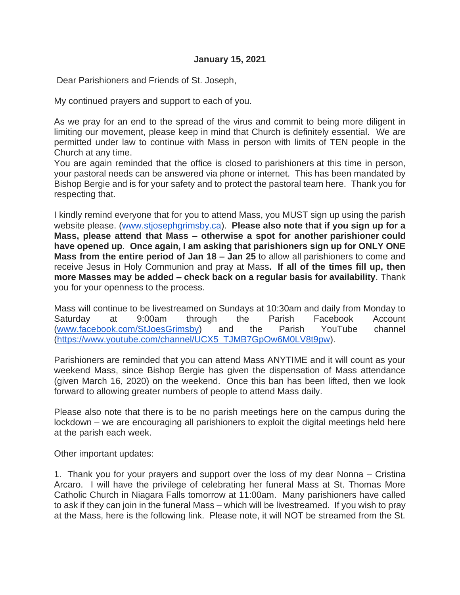Dear Parishioners and Friends of St. Joseph,

My continued prayers and support to each of you.

As we pray for an end to the spread of the virus and commit to being more diligent in limiting our movement, please keep in mind that Church is definitely essential. We are permitted under law to continue with Mass in person with limits of TEN people in the Church at any time.

You are again reminded that the office is closed to parishioners at this time in person, your pastoral needs can be answered via phone or internet. This has been mandated by Bishop Bergie and is for your safety and to protect the pastoral team here. Thank you for respecting that.

I kindly remind everyone that for you to attend Mass, you MUST sign up using the parish website please. [\(www.stjosephgrimsby.ca\)](http://www.stjosephgrimsby.ca/). **Please also note that if you sign up for a Mass, please attend that Mass – otherwise a spot for another parishioner could have opened up**. **Once again, I am asking that parishioners sign up for ONLY ONE Mass from the entire period of Jan 18 – Jan 25** to allow all parishioners to come and receive Jesus in Holy Communion and pray at Mass**. If all of the times fill up, then more Masses may be added – check back on a regular basis for availability**. Thank you for your openness to the process.

Mass will continue to be livestreamed on Sundays at 10:30am and daily from Monday to Saturday at 9:00am through the Parish Facebook Account [\(www.facebook.com/StJoesGrimsby\)](http://www.facebook.com/StJoesGrimsby) and the Parish YouTube channel [\(https://www.youtube.com/channel/UCX5\\_TJMB7GpOw6M0LV8t9pw\)](https://www.youtube.com/channel/UCX5_TJMB7GpOw6M0LV8t9pw).

Parishioners are reminded that you can attend Mass ANYTIME and it will count as your weekend Mass, since Bishop Bergie has given the dispensation of Mass attendance (given March 16, 2020) on the weekend. Once this ban has been lifted, then we look forward to allowing greater numbers of people to attend Mass daily.

Please also note that there is to be no parish meetings here on the campus during the lockdown – we are encouraging all parishioners to exploit the digital meetings held here at the parish each week.

Other important updates:

1. Thank you for your prayers and support over the loss of my dear Nonna – Cristina Arcaro. I will have the privilege of celebrating her funeral Mass at St. Thomas More Catholic Church in Niagara Falls tomorrow at 11:00am. Many parishioners have called to ask if they can join in the funeral Mass – which will be livestreamed. If you wish to pray at the Mass, here is the following link. Please note, it will NOT be streamed from the St.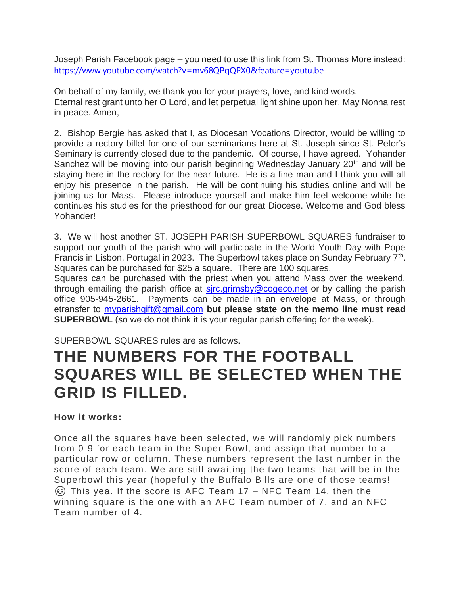Joseph Parish Facebook page – you need to use this link from St. Thomas More instead: [https://www.youtube.com/watch?v=mv68QPqQPX0&feature=youtu.be](https://www.youtube.com/watch?v=mv68QPqQPX0&feature=youtu.be&fbclid=IwAR1aHSUR9qbUfhrDmjMET5mF6b_AWf8Qwa2MN3XYlP4hfXHYpn_WGJJcWag)

On behalf of my family, we thank you for your prayers, love, and kind words. Eternal rest grant unto her O Lord, and let perpetual light shine upon her. May Nonna rest in peace. Amen,

2. Bishop Bergie has asked that I, as Diocesan Vocations Director, would be willing to provide a rectory billet for one of our seminarians here at St. Joseph since St. Peter's Seminary is currently closed due to the pandemic. Of course, I have agreed. Yohander Sanchez will be moving into our parish beginning Wednesday January 20<sup>th</sup> and will be staying here in the rectory for the near future. He is a fine man and I think you will all enjoy his presence in the parish. He will be continuing his studies online and will be joining us for Mass. Please introduce yourself and make him feel welcome while he continues his studies for the priesthood for our great Diocese. Welcome and God bless Yohander!

3. We will host another ST. JOSEPH PARISH SUPERBOWL SQUARES fundraiser to support our youth of the parish who will participate in the World Youth Day with Pope Francis in Lisbon, Portugal in 2023. The Superbowl takes place on Sunday February  $7<sup>th</sup>$ . Squares can be purchased for \$25 a square. There are 100 squares.

Squares can be purchased with the priest when you attend Mass over the weekend, through emailing the parish office at sirc.grimsby@cogeco.net or by calling the parish office 905-945-2661. Payments can be made in an envelope at Mass, or through etransfer to [myparishgift@gmail.com](mailto:myparishgift@gmail.com) **but please state on the memo line must read SUPERBOWL** (so we do not think it is your regular parish offering for the week).

SUPERBOWL SQUARES rules are as follows.

## **THE NUMBERS FOR THE FOOTBALL SQUARES WILL BE SELECTED WHEN THE GRID IS FILLED.**

## **How it works:**

Once all the squares have been selected, we will randomly pick numbers from 0-9 for each team in the Super Bowl, and assign that number to a particular row or column. These numbers represent the last number in the score of each team. We are still awaiting the two teams that will be in the Superbowl this year (hopefully the Buffalo Bills are one of those teams!  $\circled{e}$  This yea. If the score is AFC Team 17 – NFC Team 14, then the winning square is the one with an AFC Team number of 7, and an NFC Team number of 4.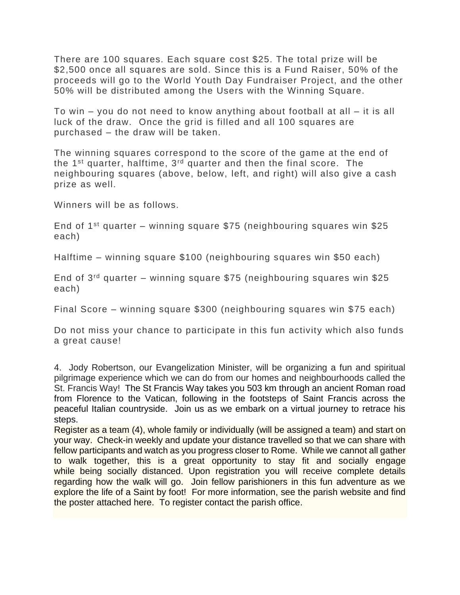There are 100 squares. Each square cost \$25. The total prize will be \$2,500 once all squares are sold. Since this is a Fund Raiser, 50% of the proceeds will go to the World Youth Day Fundraiser Project, and the other 50% will be distributed among the Users with the Winning Square.

To win – you do not need to know anything about football at all – it is all luck of the draw. Once the grid is filled and all 100 squares are purchased – the draw will be taken.

The winning squares correspond to the score of the game at the end of the  $1<sup>st</sup>$  quarter, halftime,  $3<sup>rd</sup>$  quarter and then the final score. The neighbouring squares (above, below, left, and right) will also give a cash prize as well.

Winners will be as follows.

End of 1<sup>st</sup> quarter – winning square \$75 (neighbouring squares win \$25 each)

Halftime – winning square \$100 (neighbouring squares win \$50 each)

End of  $3^{rd}$  quarter – winning square \$75 (neighbouring squares win \$25 each)

Final Score – winning square \$300 (neighbouring squares win \$75 each)

Do not miss your chance to participate in this fun activity which also funds a great cause!

4. Jody Robertson, our Evangelization Minister, will be organizing a fun and spiritual pilgrimage experience which we can do from our homes and neighbourhoods called the St. Francis Way! The St Francis Way takes you 503 km through an ancient Roman road from Florence to the Vatican, following in the footsteps of Saint Francis across the peaceful Italian countryside. Join us as we embark on a virtual journey to retrace his steps.

Register as a team (4), whole family or individually (will be assigned a team) and start on your way. Check-in weekly and update your distance travelled so that we can share with fellow participants and watch as you progress closer to Rome. While we cannot all gather to walk together, this is a great opportunity to stay fit and socially engage while being socially distanced. Upon registration you will receive complete details regarding how the walk will go. Join fellow parishioners in this fun adventure as we explore the life of a Saint by foot! For more information, see the parish website and find the poster attached here. To register contact the parish office.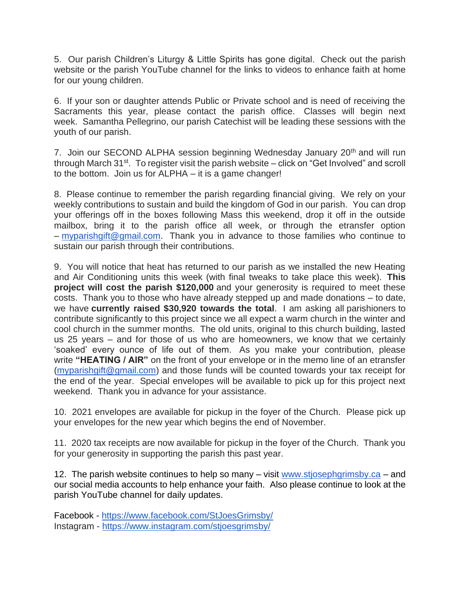5. Our parish Children's Liturgy & Little Spirits has gone digital. Check out the parish website or the parish YouTube channel for the links to videos to enhance faith at home for our young children.

6. If your son or daughter attends Public or Private school and is need of receiving the Sacraments this year, please contact the parish office. Classes will begin next week. Samantha Pellegrino, our parish Catechist will be leading these sessions with the youth of our parish.

7. Join our SECOND ALPHA session beginning Wednesday January 20<sup>th</sup> and will run through March 31<sup>st</sup>. To register visit the parish website – click on "Get Involved" and scroll to the bottom. Join us for ALPHA – it is a game changer!

8. Please continue to remember the parish regarding financial giving. We rely on your weekly contributions to sustain and build the kingdom of God in our parish. You can drop your offerings off in the boxes following Mass this weekend, drop it off in the outside mailbox, bring it to the parish office all week, or through the etransfer option – [myparishgift@gmail.com.](mailto:myparishgift@gmail.com) Thank you in advance to those families who continue to sustain our parish through their contributions.

9. You will notice that heat has returned to our parish as we installed the new Heating and Air Conditioning units this week (with final tweaks to take place this week). **This project will cost the parish \$120,000** and your generosity is required to meet these costs. Thank you to those who have already stepped up and made donations – to date, we have **currently raised \$30,920 towards the total**. I am asking all parishioners to contribute significantly to this project since we all expect a warm church in the winter and cool church in the summer months. The old units, original to this church building, lasted us 25 years – and for those of us who are homeowners, we know that we certainly 'soaked' every ounce of life out of them. As you make your contribution, please write **"HEATING / AIR"** on the front of your envelope or in the memo line of an etransfer [\(myparishgift@gmail.com\)](mailto:myparishgift@gmail.com) and those funds will be counted towards your tax receipt for the end of the year. Special envelopes will be available to pick up for this project next weekend. Thank you in advance for your assistance.

10. 2021 envelopes are available for pickup in the foyer of the Church. Please pick up your envelopes for the new year which begins the end of November.

11. 2020 tax receipts are now available for pickup in the foyer of the Church. Thank you for your generosity in supporting the parish this past year.

12. The parish website continues to help so many  $-$  visit [www.stjosephgrimsby.ca](http://www.stjosephgrimsby.ca/)  $-$  and our social media accounts to help enhance your faith. Also please continue to look at the parish YouTube channel for daily updates.

Facebook - <https://www.facebook.com/StJoesGrimsby/> Instagram - <https://www.instagram.com/stjoesgrimsby/>